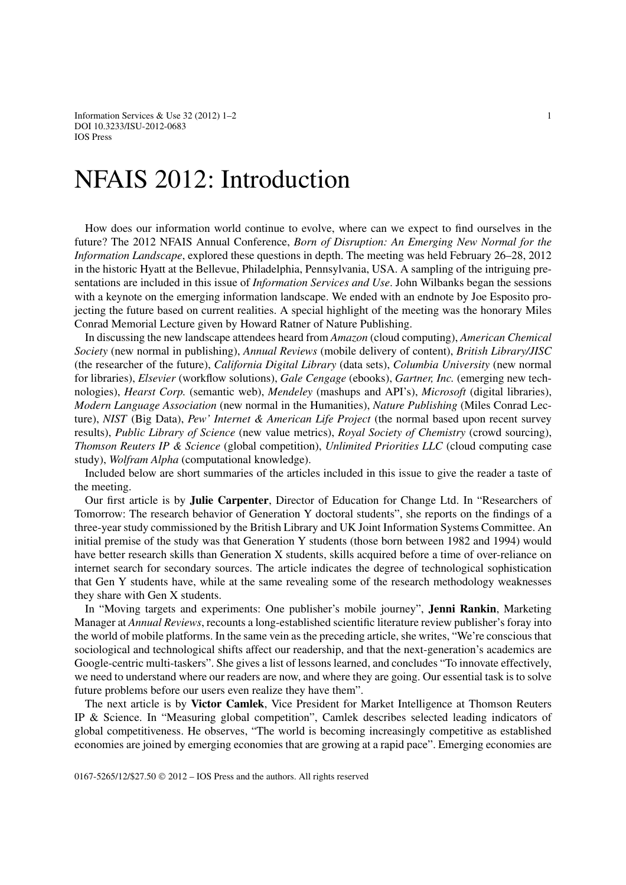Information Services & Use  $32(2012)$  1–2 1 DOI 10.3233/ISU-2012-0683 IOS Press

## NFAIS 2012: Introduction

How does our information world continue to evolve, where can we expect to find ourselves in the future? The 2012 NFAIS Annual Conference, *Born of Disruption: An Emerging New Normal for the Information Landscape*, explored these questions in depth. The meeting was held February 26–28, 2012 in the historic Hyatt at the Bellevue, Philadelphia, Pennsylvania, USA. A sampling of the intriguing presentations are included in this issue of *Information Services and Use*. John Wilbanks began the sessions with a keynote on the emerging information landscape. We ended with an endnote by Joe Esposito projecting the future based on current realities. A special highlight of the meeting was the honorary Miles Conrad Memorial Lecture given by Howard Ratner of Nature Publishing.

In discussing the new landscape attendees heard from *Amazon* (cloud computing), *American Chemical Society* (new normal in publishing), *Annual Reviews* (mobile delivery of content), *British Library/JISC* (the researcher of the future), *California Digital Library* (data sets), *Columbia University* (new normal for libraries), *Elsevier* (workflow solutions), *Gale Cengage* (ebooks), *Gartner, Inc.* (emerging new technologies), *Hearst Corp.* (semantic web), *Mendeley* (mashups and API's), *Microsoft* (digital libraries), *Modern Language Association* (new normal in the Humanities), *Nature Publishing* (Miles Conrad Lecture), *NIST* (Big Data), *Pew' Internet & American Life Project* (the normal based upon recent survey results), *Public Library of Science* (new value metrics), *Royal Society of Chemistry* (crowd sourcing), *Thomson Reuters IP & Science* (global competition), *Unlimited Priorities LLC* (cloud computing case study), *Wolfram Alpha* (computational knowledge).

Included below are short summaries of the articles included in this issue to give the reader a taste of the meeting.

Our first article is by **Julie Carpenter**, Director of Education for Change Ltd. In "Researchers of Tomorrow: The research behavior of Generation Y doctoral students", she reports on the findings of a three-year study commissioned by the British Library and UK Joint Information Systems Committee. An initial premise of the study was that Generation Y students (those born between 1982 and 1994) would have better research skills than Generation X students, skills acquired before a time of over-reliance on internet search for secondary sources. The article indicates the degree of technological sophistication that Gen Y students have, while at the same revealing some of the research methodology weaknesses they share with Gen X students.

In "Moving targets and experiments: One publisher's mobile journey", **Jenni Rankin**, Marketing Manager at *Annual Reviews*, recounts a long-established scientific literature review publisher's foray into the world of mobile platforms. In the same vein as the preceding article, she writes, "We're conscious that sociological and technological shifts affect our readership, and that the next-generation's academics are Google-centric multi-taskers". She gives a list of lessons learned, and concludes "To innovate effectively, we need to understand where our readers are now, and where they are going. Our essential task is to solve future problems before our users even realize they have them".

The next article is by **Victor Camlek**, Vice President for Market Intelligence at Thomson Reuters IP & Science. In "Measuring global competition", Camlek describes selected leading indicators of global competitiveness. He observes, "The world is becoming increasingly competitive as established economies are joined by emerging economies that are growing at a rapid pace". Emerging economies are

0167-5265/12/\$27.50 © 2012 – IOS Press and the authors. All rights reserved